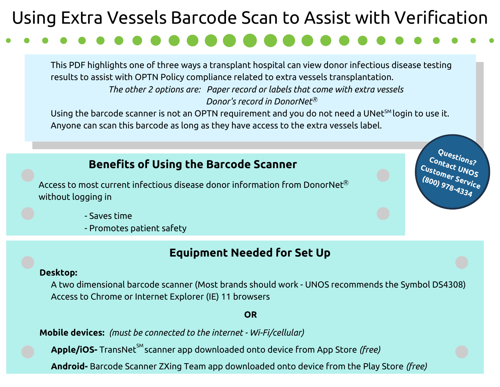# Using Extra Vessels Barcode Scan to Assist with Verification

This PDF highlights one of three ways a transplant hospital can view donor infectious disease testing results to assist with OPTN Policy compliance related to extra vessels transplantation. *The other 2 options are: Paper record or labels that come with extra vessels Donor's record in DonorNet R*

Using the barcode scanner is not an OPTN requirement and you do not need a UNet $^{\mathsf{SM}}$ login to use it. Anyone can scan this barcode as long as they have access to the extra vessels label.

# **Benefits of Using the Barcode Scanner**

Access to most current infectious disease donor information from DonorNet $^{\circledR}$ without logging in

**Questions? Contact UNOS Customer Service (800) 978-4334**

- Saves time
- Promotes patient safety

# **Equipment Needed for Set Up**

### **Desktop:**

A two dimensional barcode scanner (Most brands should work - UNOS recommends the Symbol DS4308) Access to Chrome or Internet Explorer (IE) 11 browsers

### **OR**

**Mobile devices:** *(must be connected to the internet - Wi-Fi/cellular)*

 $\mathsf{Apple}/\mathsf{iOS}$ - TransNet $^{\mathsf{SM}}$ scanner app downloaded onto device from App Store *(free)* 

**Android-** Barcode Scanner ZXing Team app downloaded onto device from the Play Store *(free)*